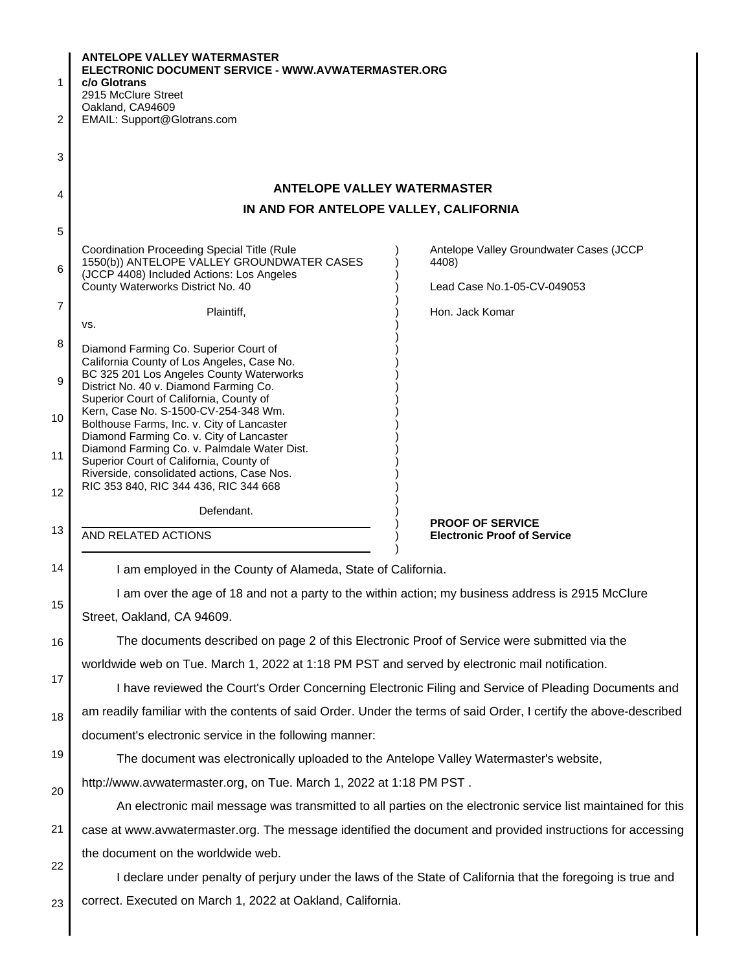| $\mathbf{1}$                           | <b>ANTELOPE VALLEY WATERMASTER</b><br>ELECTRONIC DOCUMENT SERVICE - WWW.AVWATERMASTER.ORG<br>c/o Glotrans<br>2915 McClure Street       |                                                                                                              |
|----------------------------------------|----------------------------------------------------------------------------------------------------------------------------------------|--------------------------------------------------------------------------------------------------------------|
| $\overline{c}$                         | Oakland, CA94609<br>EMAIL: Support@Glotrans.com                                                                                        |                                                                                                              |
|                                        |                                                                                                                                        |                                                                                                              |
| 3                                      |                                                                                                                                        |                                                                                                              |
| 4                                      | <b>ANTELOPE VALLEY WATERMASTER</b>                                                                                                     |                                                                                                              |
| IN AND FOR ANTELOPE VALLEY, CALIFORNIA |                                                                                                                                        |                                                                                                              |
| 5                                      |                                                                                                                                        |                                                                                                              |
| 6                                      | Coordination Proceeding Special Title (Rule<br>1550(b)) ANTELOPE VALLEY GROUNDWATER CASES<br>(JCCP 4408) Included Actions: Los Angeles | Antelope Valley Groundwater Cases (JCCP<br>4408)                                                             |
|                                        | County Waterworks District No. 40                                                                                                      | Lead Case No.1-05-CV-049053                                                                                  |
| $\overline{7}$                         | Plaintiff,<br>VS.                                                                                                                      | Hon. Jack Komar                                                                                              |
| 8                                      | Diamond Farming Co. Superior Court of<br>California County of Los Angeles, Case No.                                                    |                                                                                                              |
| 9                                      | BC 325 201 Los Angeles County Waterworks<br>District No. 40 v. Diamond Farming Co.<br>Superior Court of California, County of          |                                                                                                              |
| 10                                     | Kern, Case No. S-1500-CV-254-348 Wm.<br>Bolthouse Farms, Inc. v. City of Lancaster<br>Diamond Farming Co. v. City of Lancaster         |                                                                                                              |
| 11                                     | Diamond Farming Co. v. Palmdale Water Dist.<br>Superior Court of California, County of<br>Riverside, consolidated actions, Case Nos.   |                                                                                                              |
| 12                                     | RIC 353 840, RIC 344 436, RIC 344 668                                                                                                  |                                                                                                              |
| 13                                     | Defendant.<br><b>AND RELATED ACTIONS</b>                                                                                               | <b>PROOF OF SERVICE</b>                                                                                      |
|                                        |                                                                                                                                        | <b>Electronic Proof of Service</b>                                                                           |
| 14                                     | I am employed in the County of Alameda, State of California.                                                                           |                                                                                                              |
| 15                                     | I am over the age of 18 and not a party to the within action; my business address is 2915 McClure                                      |                                                                                                              |
|                                        | Street, Oakland, CA 94609.                                                                                                             |                                                                                                              |
| 16                                     | The documents described on page 2 of this Electronic Proof of Service were submitted via the                                           |                                                                                                              |
| 17                                     | worldwide web on Tue. March 1, 2022 at 1:18 PM PST and served by electronic mail notification.                                         |                                                                                                              |
|                                        | I have reviewed the Court's Order Concerning Electronic Filing and Service of Pleading Documents and                                   |                                                                                                              |
| 18                                     | am readily familiar with the contents of said Order. Under the terms of said Order, I certify the above-described                      |                                                                                                              |
|                                        | document's electronic service in the following manner:                                                                                 |                                                                                                              |
| 19                                     | The document was electronically uploaded to the Antelope Valley Watermaster's website,                                                 |                                                                                                              |
| 20                                     | http://www.avwatermaster.org, on Tue. March 1, 2022 at 1:18 PM PST.                                                                    |                                                                                                              |
|                                        |                                                                                                                                        | An electronic mail message was transmitted to all parties on the electronic service list maintained for this |
| 21                                     | case at www.avwatermaster.org. The message identified the document and provided instructions for accessing                             |                                                                                                              |
| 22                                     | the document on the worldwide web.                                                                                                     |                                                                                                              |
|                                        | I declare under penalty of perjury under the laws of the State of California that the foregoing is true and                            |                                                                                                              |
| 23                                     | correct. Executed on March 1, 2022 at Oakland, California.                                                                             |                                                                                                              |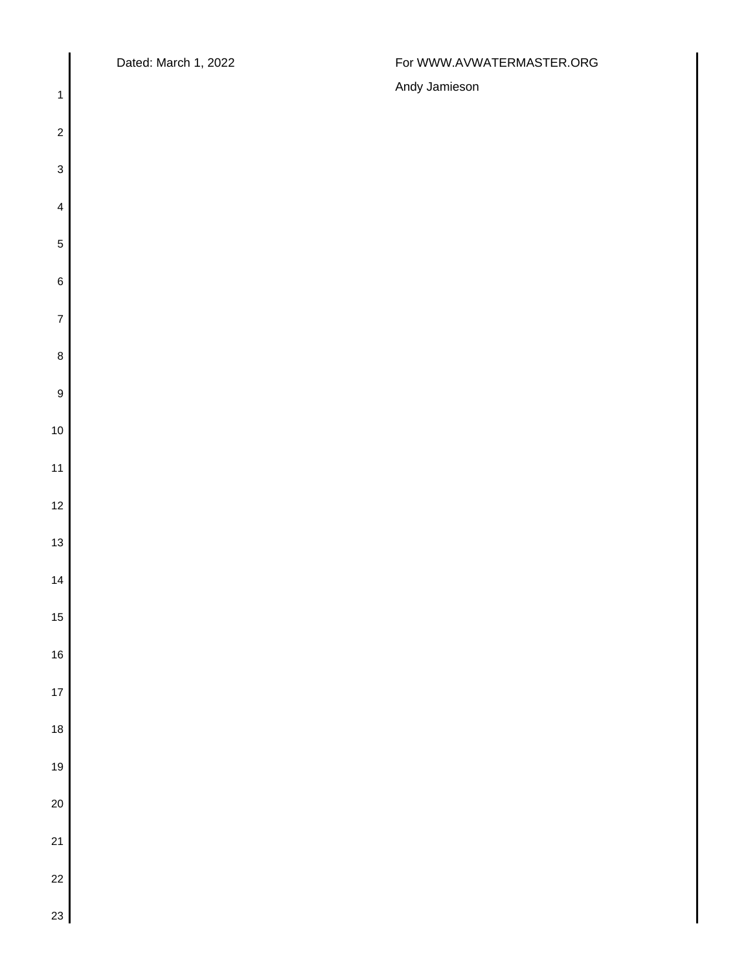$\overline{\phantom{a}}$ 

## Dated: March 1, 2022 **For WWW.AVWATERMASTER.ORG**

| $\mathbf{1}$              | Andy Jamieson |
|---------------------------|---------------|
| $\sqrt{2}$                |               |
| $\ensuremath{\mathsf{3}}$ |               |
| $\overline{\mathbf{4}}$   |               |
| $\overline{5}$            |               |
| $\,6$                     |               |
| $\overline{7}$            |               |
| $\bf 8$                   |               |
| $\boldsymbol{9}$          |               |
| $10$                      |               |
| 11                        |               |
| $12$                      |               |
| $13$                      |               |
| $14$                      |               |
| $15$                      |               |
| $16\,$                    |               |
| $17$                      |               |
| 18                        |               |
| 19                        |               |
| $20\,$                    |               |
| 21                        |               |
| 22                        |               |
| 23                        |               |